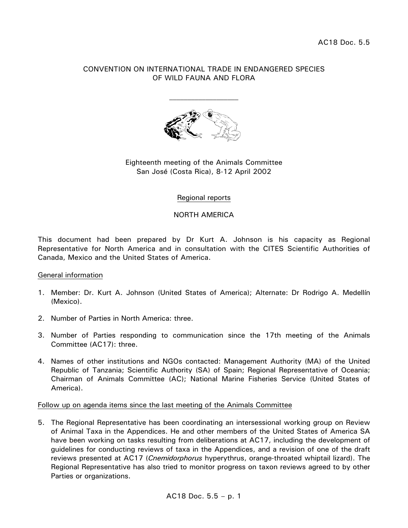### CONVENTION ON INTERNATIONAL TRADE IN ENDANGERED SPECIES OF WILD FAUNA AND FLORA



## Eighteenth meeting of the Animals Committee San José (Costa Rica), 8-12 April 2002

#### Regional reports

### NORTH AMERICA

This document had been prepared by Dr Kurt A. Johnson is his capacity as Regional Representative for North America and in consultation with the CITES Scientific Authorities of Canada, Mexico and the United States of America.

#### General information

- 1. Member: Dr. Kurt A. Johnson (United States of America); Alternate: Dr Rodrigo A. Medellín (Mexico).
- 2. Number of Parties in North America: three.
- 3. Number of Parties responding to communication since the 17th meeting of the Animals Committee (AC17): three.
- 4. Names of other institutions and NGOs contacted: Management Authority (MA) of the United Republic of Tanzania; Scientific Authority (SA) of Spain; Regional Representative of Oceania; Chairman of Animals Committee (AC); National Marine Fisheries Service (United States of America).

#### Follow up on agenda items since the last meeting of the Animals Committee

5. The Regional Representative has been coordinating an intersessional working group on Review of Animal Taxa in the Appendices. He and other members of the United States of America SA have been working on tasks resulting from deliberations at AC17, including the development of guidelines for conducting reviews of taxa in the Appendices, and a revision of one of the draft reviews presented at AC17 (*Cnemidorphorus* hyperythrus, orange-throated whiptail lizard). The Regional Representative has also tried to monitor progress on taxon reviews agreed to by other Parties or organizations.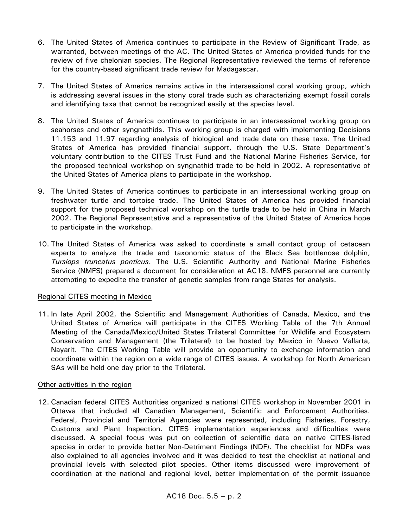- 6. The United States of America continues to participate in the Review of Significant Trade, as warranted, between meetings of the AC. The United States of America provided funds for the review of five chelonian species. The Regional Representative reviewed the terms of reference for the country-based significant trade review for Madagascar.
- 7. The United States of America remains active in the intersessional coral working group, which is addressing several issues in the stony coral trade such as characterizing exempt fossil corals and identifying taxa that cannot be recognized easily at the species level.
- 8. The United States of America continues to participate in an intersessional working group on seahorses and other syngnathids. This working group is charged with implementing Decisions 11.153 and 11.97 regarding analysis of biological and trade data on these taxa. The United States of America has provided financial support, through the U.S. State Department's voluntary contribution to the CITES Trust Fund and the National Marine Fisheries Service, for the proposed technical workshop on syngnathid trade to be held in 2002. A representative of the United States of America plans to participate in the workshop.
- 9. The United States of America continues to participate in an intersessional working group on freshwater turtle and tortoise trade. The United States of America has provided financial support for the proposed technical workshop on the turtle trade to be held in China in March 2002. The Regional Representative and a representative of the United States of America hope to participate in the workshop.
- 10. The United States of America was asked to coordinate a small contact group of cetacean experts to analyze the trade and taxonomic status of the Black Sea bottlenose dolphin, *Tursiops truncatus ponticus*. The U.S. Scientific Authority and National Marine Fisheries Service (NMFS) prepared a document for consideration at AC18. NMFS personnel are currently attempting to expedite the transfer of genetic samples from range States for analysis.

# Regional CITES meeting in Mexico

11. In late April 2002, the Scientific and Management Authorities of Canada, Mexico, and the United States of America will participate in the CITES Working Table of the 7th Annual Meeting of the Canada/Mexico/United States Trilateral Committee for Wildlife and Ecosystem Conservation and Management (the Trilateral) to be hosted by Mexico in Nuevo Vallarta, Nayarit. The CITES Working Table will provide an opportunity to exchange information and coordinate within the region on a wide range of CITES issues. A workshop for North American SAs will be held one day prior to the Trilateral.

# Other activities in the region

12. Canadian federal CITES Authorities organized a national CITES workshop in November 2001 in Ottawa that included all Canadian Management, Scientific and Enforcement Authorities. Federal, Provincial and Territorial Agencies were represented, including Fisheries, Forestry, Customs and Plant Inspection. CITES implementation experiences and difficulties were discussed. A special focus was put on collection of scientific data on native CITES-listed species in order to provide better Non-Detriment Findings (NDF). The checklist for NDFs was also explained to all agencies involved and it was decided to test the checklist at national and provincial levels with selected pilot species. Other items discussed were improvement of coordination at the national and regional level, better implementation of the permit issuance